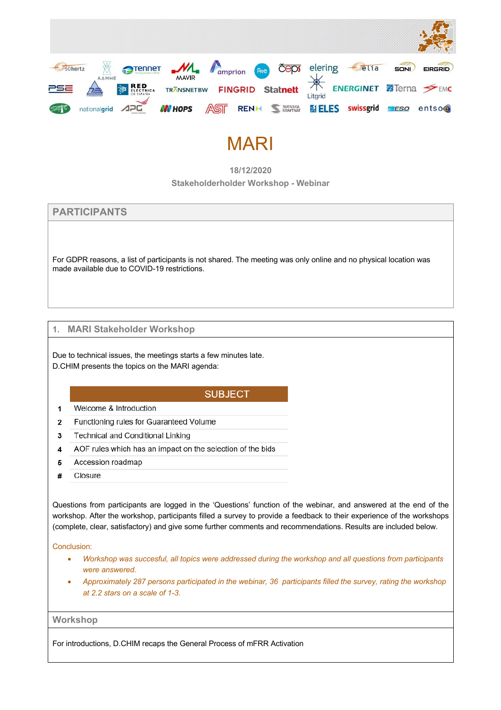

# MARI

**18/12/2020**

**Stakeholderholder Workshop - Webinar**

**PARTICIPANTS** 

For GDPR reasons, a list of participants is not shared. The meeting was only online and no physical location was made available due to COVID-19 restrictions.

## **1. MARI Stakeholder Workshop**

Due to technical issues, the meetings starts a few minutes late. D.CHIM presents the topics on the MARI agenda:

# **SUBJECT**

- Welcome & Introduction  $\overline{1}$
- Functioning rules for Guaranteed Volume  $\overline{2}$
- $\overline{3}$ Technical and Conditional Linking
- AOF rules which has an impact on the selection of the bids  $\overline{4}$
- Accession roadmap 5
- Closure #

Questions from participants are logged in the 'Questions' function of the webinar, and answered at the end of the workshop. After the workshop, participants filled a survey to provide a feedback to their experience of the workshops (complete, clear, satisfactory) and give some further comments and recommendations. Results are included below.

Conclusion:

- *Workshop was succesful, all topics were addressed during the workshop and all questions from participants were answered.*
- *Approximately 287 persons participated in the webinar, 36 participants filled the survey, rating the workshop at 2.2 stars on a scale of 1-3.*

**Workshop**

For introductions, D.CHIM recaps the General Process of mFRR Activation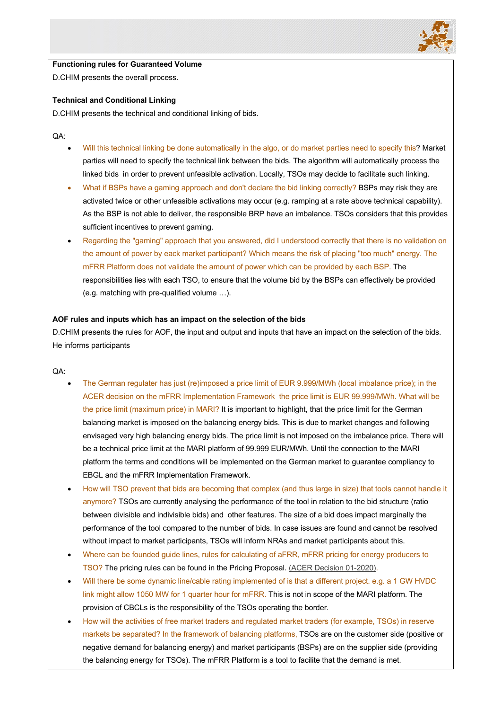

# **Functioning rules for Guaranteed Volume**

D.CHIM presents the overall process.

#### **Technical and Conditional Linking**

D.CHIM presents the technical and conditional linking of bids.

QA:

- Will this technical linking be done automatically in the algo, or do market parties need to specify this? Market parties will need to specify the technical link between the bids. The algorithm will automatically process the linked bids in order to prevent unfeasible activation. Locally, TSOs may decide to facilitate such linking.
- What if BSPs have a gaming approach and don't declare the bid linking correctly? BSPs may risk they are activated twice or other unfeasible activations may occur (e.g. ramping at a rate above technical capability). As the BSP is not able to deliver, the responsible BRP have an imbalance. TSOs considers that this provides sufficient incentives to prevent gaming.
- Regarding the "gaming" approach that you answered, did I understood correctly that there is no validation on the amount of power by eack market participant? Which means the risk of placing "too much" energy. The mFRR Platform does not validate the amount of power which can be provided by each BSP. The responsibilities lies with each TSO, to ensure that the volume bid by the BSPs can effectively be provided (e.g. matching with pre-qualified volume …).

#### **AOF rules and inputs which has an impact on the selection of the bids**

D.CHIM presents the rules for AOF, the input and output and inputs that have an impact on the selection of the bids. He informs participants

QA:

- The German regulater has just (re)imposed a price limit of EUR 9.999/MWh (local imbalance price); in the ACER decision on the mFRR Implementation Framework the price limit is EUR 99.999/MWh. What will be the price limit (maximum price) in MARI? It is important to highlight, that the price limit for the German balancing market is imposed on the balancing energy bids. This is due to market changes and following envisaged very high balancing energy bids. The price limit is not imposed on the imbalance price. There will be a technical price limit at the MARI platform of 99.999 EUR/MWh. Until the connection to the MARI platform the terms and conditions will be implemented on the German market to guarantee compliancy to EBGL and the mFRR Implementation Framework.
- How will TSO prevent that bids are becoming that complex (and thus large in size) that tools cannot handle it anymore? TSOs are currently analysing the performance of the tool in relation to the bid structure (ratio between divisible and indivisible bids) and other features. The size of a bid does impact marginally the performance of the tool compared to the number of bids. In case issues are found and cannot be resolved without impact to market participants, TSOs will inform NRAs and market participants about this.
- Where can be founded guide lines, rules for calculating of aFRR, mFRR pricing for energy producers to TSO? The pricing rules can be found in the Pricing Proposal. (ACER Decision 01-2020).
- Will there be some dynamic line/cable rating implemented of is that a different project. e.g. a 1 GW HVDC link might allow 1050 MW for 1 quarter hour for mFRR. This is not in scope of the MARI platform. The provision of CBCLs is the responsibility of the TSOs operating the border.
- How will the activities of free market traders and regulated market traders (for example, TSOs) in reserve markets be separated? In the framework of balancing platforms, TSOs are on the customer side (positive or negative demand for balancing energy) and market participants (BSPs) are on the supplier side (providing the balancing energy for TSOs). The mFRR Platform is a tool to facilite that the demand is met.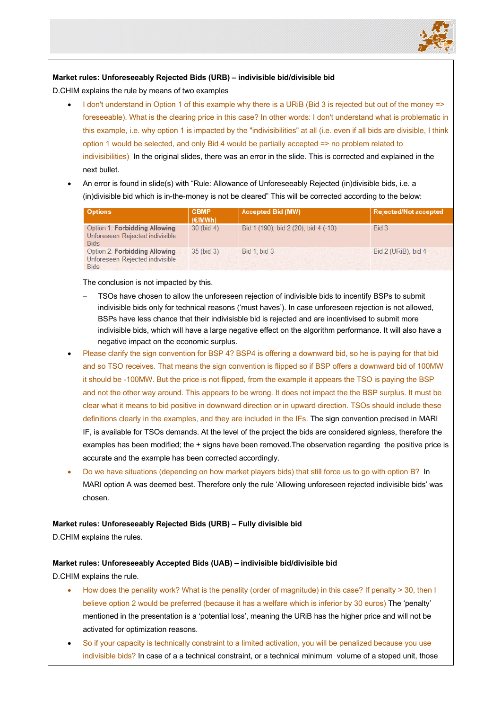

## **Market rules: Unforeseeably Rejected Bids (URB) – indivisible bid/divisible bid**

D.CHIM explains the rule by means of two examples

- I don't understand in Option 1 of this example why there is a URiB (Bid 3 is rejected but out of the money => foreseeable). What is the clearing price in this case? In other words: I don't understand what is problematic in this example, i.e. why option 1 is impacted by the "indivisibilities" at all (i.e. even if all bids are divisible, I think option 1 would be selected, and only Bid 4 would be partially accepted => no problem related to indivisibilities) In the original slides, there was an error in the slide. This is corrected and explained in the next bullet.
- An error is found in slide(s) with "Rule: Allowance of Unforeseeably Rejected (in)divisible bids, i.e. a (in)divisible bid which is in-the-money is not be cleared" This will be corrected according to the below:

| <b>Options</b>                                                                         | <b>CBMP</b><br>(E/MWh) | <b>Accepted Bid (MW)</b>             | Rejected/Not accepted |
|----------------------------------------------------------------------------------------|------------------------|--------------------------------------|-----------------------|
| Option 1: Forbidding Allowing<br>Unforeseen Rejected indivisible<br><b>Bids</b>        | $30$ (bid 4)           | Bid 1 (190), bid 2 (20), bid 4 (-10) | Bid 3                 |
| Option 2: <b>Forbidding Allowing</b><br>Unforeseen Rejected indivisible<br><b>Bids</b> | $35$ (bid $3$ )        | <b>Bid 1, bid 3</b>                  | Bid 2 (URiB), bid 4   |

The conclusion is not impacted by this.

- TSOs have chosen to allow the unforeseen rejection of indivisible bids to incentify BSPs to submit indivisible bids only for technical reasons ('must haves'). In case unforeseen rejection is not allowed, BSPs have less chance that their indivisisble bid is rejected and are incentivised to submit more indivisible bids, which will have a large negative effect on the algorithm performance. It will also have a negative impact on the economic surplus.
- Please clarify the sign convention for BSP 4? BSP4 is offering a downward bid, so he is paying for that bid and so TSO receives. That means the sign convention is flipped so if BSP offers a downward bid of 100MW it should be -100MW. But the price is not flipped, from the example it appears the TSO is paying the BSP and not the other way around. This appears to be wrong. It does not impact the the BSP surplus. It must be clear what it means to bid positive in downward direction or in upward direction. TSOs should include these definitions clearly in the examples, and they are included in the IFs. The sign convention precised in MARI IF, is available for TSOs demands. At the level of the project the bids are considered signless, therefore the examples has been modified; the + signs have been removed.The observation regarding the positive price is accurate and the example has been corrected accordingly.
- Do we have situations (depending on how market players bids) that still force us to go with option B? In MARI option A was deemed best. Therefore only the rule 'Allowing unforeseen rejected indivisible bids' was chosen.

#### **Market rules: Unforeseeably Rejected Bids (URB) – Fully divisible bid**

D.CHIM explains the rules.

#### **Market rules: Unforeseeably Accepted Bids (UAB) – indivisible bid/divisible bid**

D.CHIM explains the rule.

- How does the penality work? What is the penality (order of magnitude) in this case? If penalty > 30, then I believe option 2 would be preferred (because it has a welfare which is inferior by 30 euros) The 'penalty' mentioned in the presentation is a 'potential loss', meaning the URiB has the higher price and will not be activated for optimization reasons.
- So if your capacity is technically constraint to a limited activation, you will be penalized because you use indivisible bids? In case of a a technical constraint, or a technical minimum volume of a stoped unit, those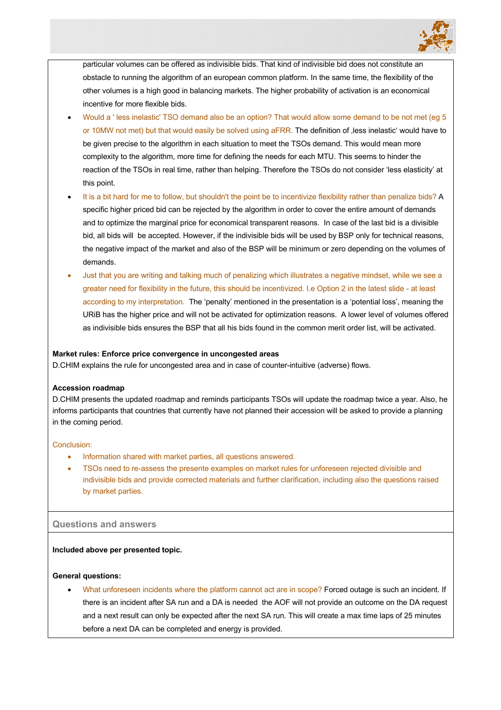

particular volumes can be offered as indivisible bids. That kind of indivisible bid does not constitute an obstacle to running the algorithm of an european common platform. In the same time, the flexibility of the other volumes is a high good in balancing markets. The higher probability of activation is an economical incentive for more flexible bids.

- Would a ' less inelastic' TSO demand also be an option? That would allow some demand to be not met (eg 5 or 10MW not met) but that would easily be solved using aFRR. The definition of , less inelastic' would have to be given precise to the algorithm in each situation to meet the TSOs demand. This would mean more complexity to the algorithm, more time for defining the needs for each MTU. This seems to hinder the reaction of the TSOs in real time, rather than helping. Therefore the TSOs do not consider 'less elasticity' at this point.
- It is a bit hard for me to follow, but shouldn't the point be to incentivize flexibility rather than penalize bids? A specific higher priced bid can be rejected by the algorithm in order to cover the entire amount of demands and to optimize the marginal price for economical transparent reasons. In case of the last bid is a divisible bid, all bids will be accepted. However, if the indivisible bids will be used by BSP only for technical reasons, the negative impact of the market and also of the BSP will be minimum or zero depending on the volumes of demands.
- Just that you are writing and talking much of penalizing which illustrates a negative mindset, while we see a greater need for flexibility in the future, this should be incentivized. I.e Option 2 in the latest slide - at least according to my interpretation. The 'penalty' mentioned in the presentation is a 'potential loss', meaning the URiB has the higher price and will not be activated for optimization reasons. A lower level of volumes offered as indivisible bids ensures the BSP that all his bids found in the common merit order list, will be activated.

#### **Market rules: Enforce price convergence in uncongested areas**

D.CHIM explains the rule for uncongested area and in case of counter-intuitive (adverse) flows.

#### **Accession roadmap**

D.CHIM presents the updated roadmap and reminds participants TSOs will update the roadmap twice a year. Also, he informs participants that countries that currently have not planned their accession will be asked to provide a planning in the coming period.

#### Conclusion:

- Information shared with market parties, all questions answered.
- TSOs need to re-assess the presente examples on market rules for unforeseen rejected divisible and indivisible bids and provide corrected materials and further clarification, including also the questions raised by market parties.

## **Questions and answers**

#### **Included above per presented topic.**

#### **General questions:**

• What unforeseen incidents where the platform cannot act are in scope? Forced outage is such an incident. If there is an incident after SA run and a DA is needed the AOF will not provide an outcome on the DA request and a next result can only be expected after the next SA run. This will create a max time laps of 25 minutes before a next DA can be completed and energy is provided.